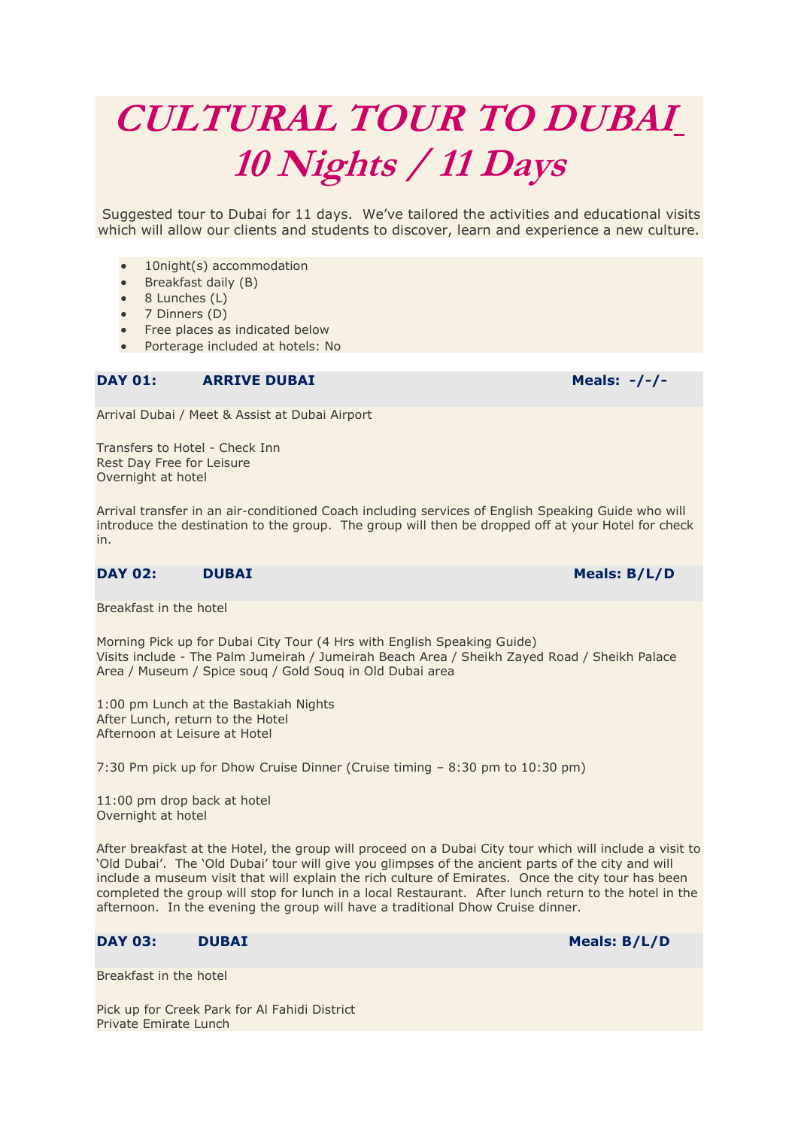# **CULTURAL TOUR TO DUBAI 10 Nights / 11 Days**

Suggested tour to Dubai for 11 days. We've tailored the activities and educational visits which will allow our clients and students to discover, learn and experience a new culture.

- 10night(s) accommodation
- Breakfast daily (B)
- 8 Lunches (L)
- $\bullet$  7 Dinners (D)
- Free places as indicated below
- Porterage included at hotels: No

## **DAY 01: ARRIVE DUBAI Meals: -/-/-**

Arrival Dubai / Meet & Assist at Dubai Airport

Transfers to Hotel - Check Inn Rest Day Free for Leisure Overnight at hotel

Arrival transfer in an air-conditioned Coach including services of English Speaking Guide who will introduce the destination to the group. The group will then be dropped off at your Hotel for check in.

## **DAY 02:** DUBAI Meals: B/L/D

Breakfast in the hotel

Morning Pick up for Dubai City Tour (4 Hrs with English Speaking Guide) Visits include - The Palm Jumeirah / Jumeirah Beach Area / Sheikh Zayed Road / Sheikh Palace Area / Museum / Spice souq / Gold Souq in Old Dubai area

1:00 pm Lunch at the Bastakiah Nights After Lunch, return to the Hotel Afternoon at Leisure at Hotel

7:30 Pm pick up for Dhow Cruise Dinner (Cruise timing – 8:30 pm to 10:30 pm)

11:00 pm drop back at hotel Overnight at hotel

After breakfast at the Hotel, the group will proceed on a Dubai City tour which will include a visit to 'Old Dubai'. The 'Old Dubai' tour will give you glimpses of the ancient parts of the city and will include a museum visit that will explain the rich culture of Emirates. Once the city tour has been completed the group will stop for lunch in a local Restaurant. After lunch return to the hotel in the afternoon. In the evening the group will have a traditional Dhow Cruise dinner.

# **DAY 03:** DUBAI Meals: B/L/D

Breakfast in the hotel

Pick up for Creek Park for Al Fahidi District Private Emirate Lunch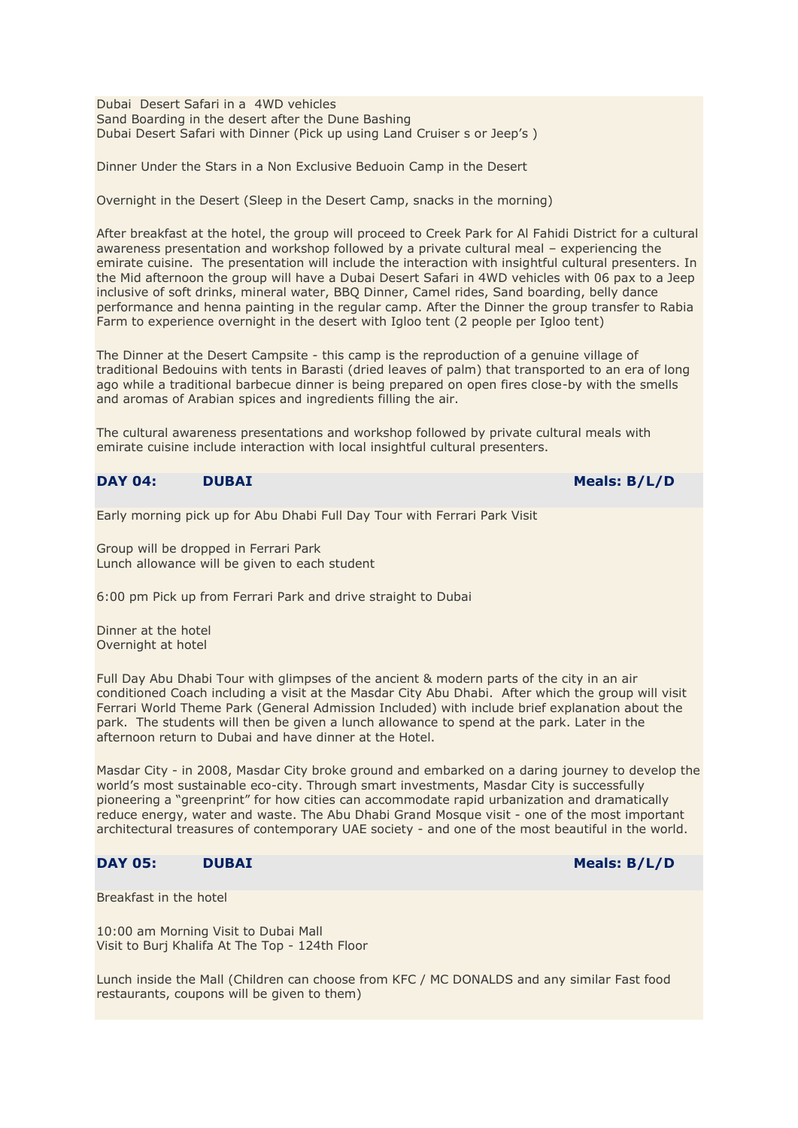Dubai Desert Safari in a 4WD vehicles Sand Boarding in the desert after the Dune Bashing Dubai Desert Safari with Dinner (Pick up using Land Cruiser s or Jeep's )

Dinner Under the Stars in a Non Exclusive Beduoin Camp in the Desert

Overnight in the Desert (Sleep in the Desert Camp, snacks in the morning)

After breakfast at the hotel, the group will proceed to Creek Park for Al Fahidi District for a cultural awareness presentation and workshop followed by a private cultural meal – experiencing the emirate cuisine. The presentation will include the interaction with insightful cultural presenters. In the Mid afternoon the group will have a Dubai Desert Safari in 4WD vehicles with 06 pax to a Jeep inclusive of soft drinks, mineral water, BBQ Dinner, Camel rides, Sand boarding, belly dance performance and henna painting in the regular camp. After the Dinner the group transfer to Rabia Farm to experience overnight in the desert with Igloo tent (2 people per Igloo tent)

The Dinner at the Desert Campsite - this camp is the reproduction of a genuine village of traditional Bedouins with tents in Barasti (dried leaves of palm) that transported to an era of long ago while a traditional barbecue dinner is being prepared on open fires close-by with the smells and aromas of Arabian spices and ingredients filling the air.

The cultural awareness presentations and workshop followed by private cultural meals with emirate cuisine include interaction with local insightful cultural presenters.

#### **DAY 04:** DUBAI Meals: B/L/D

Early morning pick up for Abu Dhabi Full Day Tour with Ferrari Park Visit

Group will be dropped in Ferrari Park Lunch allowance will be given to each student

6:00 pm Pick up from Ferrari Park and drive straight to Dubai

Dinner at the hotel Overnight at hotel

Full Day Abu Dhabi Tour with glimpses of the ancient & modern parts of the city in an air conditioned Coach including a visit at the Masdar City Abu Dhabi. After which the group will visit Ferrari World Theme Park (General Admission Included) with include brief explanation about the park. The students will then be given a lunch allowance to spend at the park. Later in the afternoon return to Dubai and have dinner at the Hotel.

Masdar City - in 2008, Masdar City broke ground and embarked on a daring journey to develop the world's most sustainable eco-city. Through smart investments, Masdar City is successfully pioneering a "greenprint" for how cities can accommodate rapid urbanization and dramatically reduce energy, water and waste. The Abu Dhabi Grand Mosque visit - one of the most important architectural treasures of contemporary UAE society - and one of the most beautiful in the world.

# **DAY 05: DUBAI Meals: B/L/D**

Breakfast in the hotel

10:00 am Morning Visit to Dubai Mall Visit to Burj Khalifa At The Top - 124th Floor

Lunch inside the Mall (Children can choose from KFC / MC DONALDS and any similar Fast food restaurants, coupons will be given to them)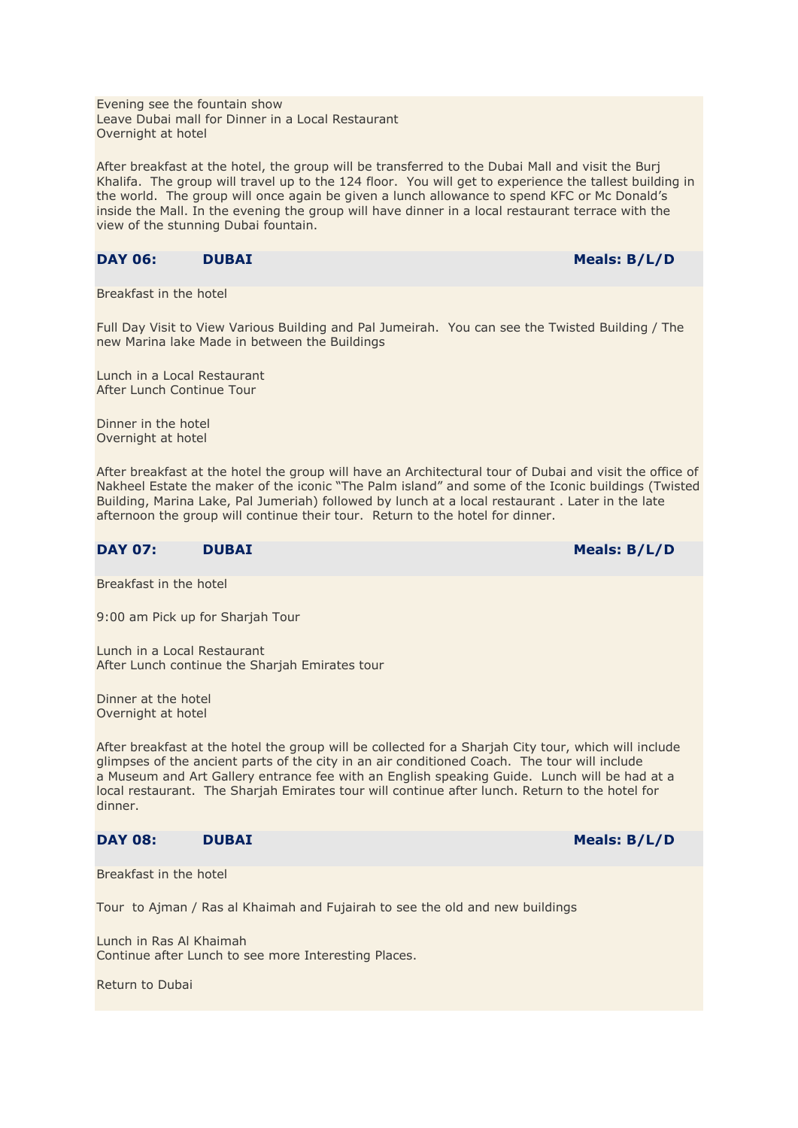Evening see the fountain show Leave Dubai mall for Dinner in a Local Restaurant Overnight at hotel

After breakfast at the hotel, the group will be transferred to the Dubai Mall and visit the Burj Khalifa. The group will travel up to the 124 floor. You will get to experience the tallest building in the world. The group will once again be given a lunch allowance to spend KFC or Mc Donald's inside the Mall. In the evening the group will have dinner in a local restaurant terrace with the view of the stunning Dubai fountain.

#### **DAY 06:** DUBAI Meals: B/L/D

Breakfast in the hotel

Full Day Visit to View Various Building and Pal Jumeirah. You can see the Twisted Building / The new Marina lake Made in between the Buildings

Lunch in a Local Restaurant After Lunch Continue Tour

Dinner in the hotel Overnight at hotel

After breakfast at the hotel the group will have an Architectural tour of Dubai and visit the office of Nakheel Estate the maker of the iconic "The Palm island" and some of the Iconic buildings (Twisted Building, Marina Lake, Pal Jumeriah) followed by lunch at a local restaurant . Later in the late afternoon the group will continue their tour. Return to the hotel for dinner.

#### **DAY 07:** DUBAI Meals: B/L/D

Breakfast in the hotel

9:00 am Pick up for Sharjah Tour

Lunch in a Local Restaurant After Lunch continue the Sharjah Emirates tour

Dinner at the hotel Overnight at hotel

After breakfast at the hotel the group will be collected for a Sharjah City tour, which will include glimpses of the ancient parts of the city in an air conditioned Coach. The tour will include a Museum and Art Gallery entrance fee with an English speaking Guide. Lunch will be had at a local restaurant. The Sharjah Emirates tour will continue after lunch. Return to the hotel for dinner.

#### **DAY 08:** DUBAI Meals: B/L/D

Breakfast in the hotel

Tour to Ajman / Ras al Khaimah and Fujairah to see the old and new buildings

Lunch in Ras Al Khaimah Continue after Lunch to see more Interesting Places.

Return to Dubai